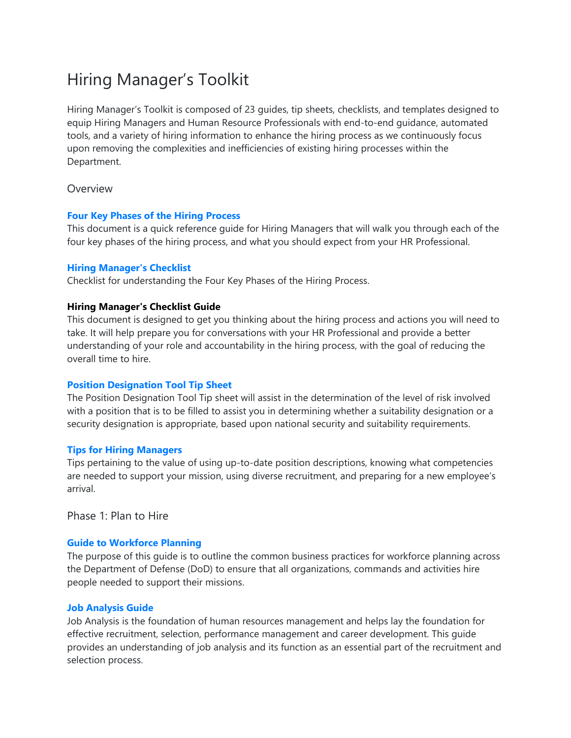# Hiring Manager's Toolkit

Hiring Manager's Toolkit is composed of 23 guides, tip sheets, checklists, and templates designed to equip Hiring Managers and Human Resource Professionals with end-to-end guidance, automated tools, and a variety of hiring information to enhance the hiring process as we continuously focus upon removing the complexities and inefficiencies of existing hiring processes within the Department.

# Overview

# **[Four Key Phases of the Hiring Process](https://dcpas-dev.online14.net/sites/default/files/2021-04/01_Four_Key_Phases_of_the_Hiring_Process.pdf)**

This document is a quick reference guide for Hiring Managers that will walk you through each of the four key phases of the hiring process, and what you should expect from your HR Professional.

# **[Hiring Manager's Checklist](https://dcpas-dev.online14.net/sites/default/files/2021-04/03_Hiring_Managers_Checklist_Guide.pdf)**

Checklist for understanding the Four Key Phases of the Hiring Process.

# **Hiring Manager's Checklist Guide**

This document is designed to get you thinking about the hiring process and actions you will need to take. It will help prepare you for conversations with your HR Professional and provide a better understanding of your role and accountability in the hiring process, with the goal of reducing the overall time to hire.

# **[Position Designation Tool Tip Sheet](https://dcpas-dev.online14.net/sites/default/files/2021-04/04_Position_Delegation_Tool_Tip_Sheet-Revised_0.pdf)**

The Position Designation Tool Tip sheet will assist in the determination of the level of risk involved with a position that is to be filled to assist you in determining whether a suitability designation or a security designation is appropriate, based upon national security and suitability requirements.

#### **[Tips for Hiring Managers](https://dcpas-dev.online14.net/sites/default/files/2021-04/Tips_For_Hiring_Managers_3v2.pdf)**

Tips pertaining to the value of using up-to-date position descriptions, knowing what competencies are needed to support your mission, using diverse recruitment, and preparing for a new employee's arrival.

Phase 1: Plan to Hire

# **[Guide to Workforce Planning](https://dcpas-dev.online14.net/sites/default/files/2021-04/06_Guide_to_Workforce_Planning_revised.pdf)**

The purpose of this guide is to outline the common business practices for workforce planning across the Department of Defense (DoD) to ensure that all organizations, commands and activities hire people needed to support their missions.

# **[Job Analysis Guide](https://dcpas-dev.online14.net/sites/default/files/2021-04/Job_Analysis_Guide_05.pdf)**

Job Analysis is the foundation of human resources management and helps lay the foundation for effective recruitment, selection, performance management and career development. This guide provides an understanding of job analysis and its function as an essential part of the recruitment and selection process.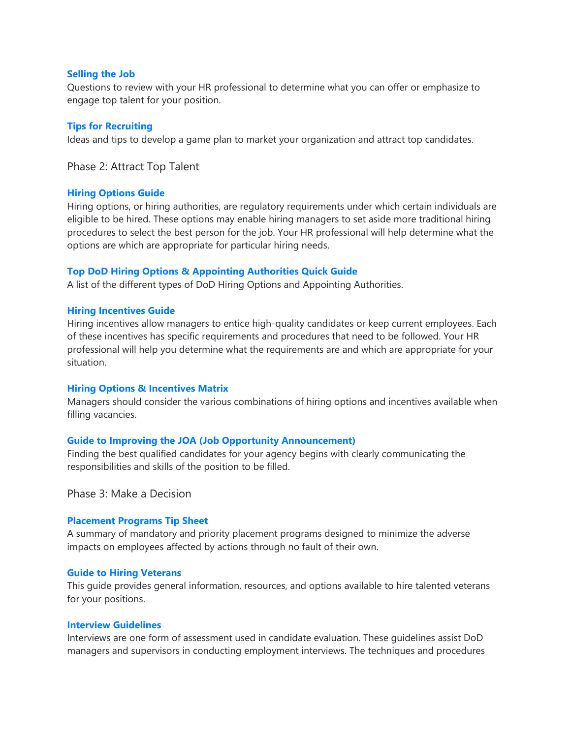# **[Selling the Job](https://dcpas-dev.online14.net/sites/default/files/2021-04/08_Selling_the_Job.pdf)**

Questions to review with your HR professional to determine what you can offer or emphasize to engage top talent for your position.

# **[Tips for Recruiting](https://dcpas-dev.online14.net/sites/default/files/2021-04/tips_for_recruiting_07.pdf)**

Ideas and tips to develop a game plan to market your organization and attract top candidates.

Phase 2: Attract Top Talent

#### **[Hiring Options Guide](https://dcpas-dev.online14.net/sites/default/files/2021-04/Hiring_Options_Guide.pdf)**

Hiring options, or hiring authorities, are regulatory requirements under which certain individuals are eligible to be hired. These options may enable hiring managers to set aside more traditional hiring procedures to select the best person for the job. Your HR professional will help determine what the options are which are appropriate for particular hiring needs.

# **[Top DoD Hiring Options & Appointing Authorities Quick Guide](https://dcpas-dev.online14.net/sites/default/files/2021-04/8_Top_DoD-Hiring_and_Appointing_Authorities_v2.pdf)**

A list of the different types of DoD Hiring Options and Appointing Authorities.

#### **[Hiring Incentives Guide](https://dcpas-dev.online14.net/sites/default/files/2021-04/Hiring_Incentives_Guide_11v7.pdf)**

Hiring incentives allow managers to entice high-quality candidates or keep current employees. Each of these incentives has specific requirements and procedures that need to be followed. Your HR professional will help you determine what the requirements are and which are appropriate for your situation.

#### **[Hiring Options & Incentives Matrix](https://dcpas-dev.online14.net/sites/default/files/2021-04/Options-Incentives_Matrix_10.pdf)**

Managers should consider the various combinations of hiring options and incentives available when filling vacancies.

#### **[Guide to Improving the JOA \(Job Opportunity Announcement\)](https://dcpas-dev.online14.net/sites/default/files/2021-04/Job_Analysis_Guide_JOA_05.pdf)**

Finding the best qualified candidates for your agency begins with clearly communicating the responsibilities and skills of the position to be filled.

Phase 3: Make a Decision

#### **[Placement Programs Tip Sheet](https://dcpas-dev.online14.net/sites/default/files/2021-04/15_Placement_Programs_Tip_Sheetv2.pdf)**

A summary of mandatory and priority placement programs designed to minimize the adverse impacts on employees affected by actions through no fault of their own.

#### **[Guide to Hiring Veterans](https://dcpas-dev.online14.net/sites/default/files/2021-04/16_guide_to_hiring_veterans.pdf)**

This guide provides general information, resources, and options available to hire talented veterans for your positions.

#### **[Interview Guidelines](https://dcpas-dev.online14.net/sites/default/files/2021-04/interview_guidelines_15.pdf)**

Interviews are one form of assessment used in candidate evaluation. These guidelines assist DoD managers and supervisors in conducting employment interviews. The techniques and procedures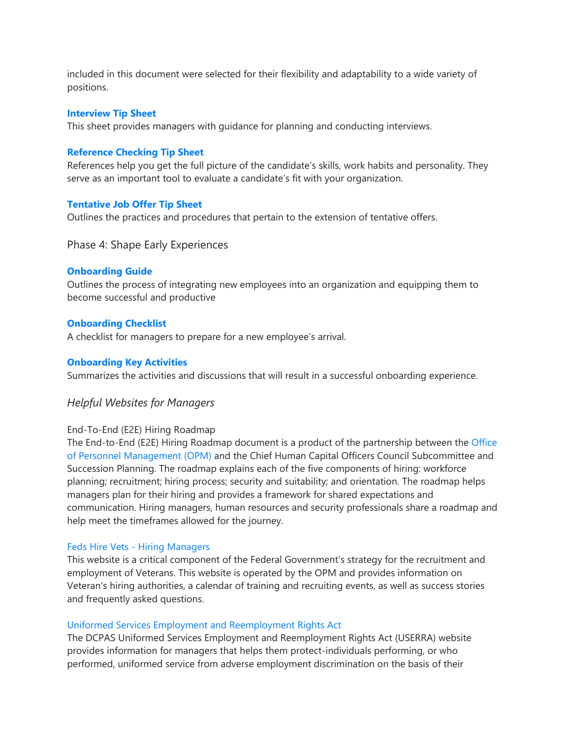included in this document were selected for their flexibility and adaptability to a wide variety of positions.

# **[Interview Tip Sheet](https://dcpas-dev.online14.net/sites/default/files/2021-04/Interview_Tip_Sheet_16v2.pdf)**

This sheet provides managers with guidance for planning and conducting interviews.

# **[Reference Checking Tip Sheet](https://dcpas-dev.online14.net/sites/default/files/2021-04/reference_checking_tip_sheet_17v2.pdf)**

References help you get the full picture of the candidate's skills, work habits and personality. They serve as an important tool to evaluate a candidate's fit with your organization.

#### **Tentative [Job Offer Tip Sheet](https://dcpas-dev.online14.net/sites/default/files/2021-04/tentative_job_offer_tip_sheetv2.pdf)**

Outlines the practices and procedures that pertain to the extension of tentative offers.

# Phase 4: Shape Early Experiences

#### **[Onboarding Guide](https://dcpas-dev.online14.net/sites/default/files/2021-04/21_Onboarding_Guide.pdf)**

Outlines the process of integrating new employees into an organization and equipping them to become successful and productive

#### **[Onboarding Checklist](https://dcpas-dev.online14.net/sites/default/files/2021-04/Onboarding_Checklist_21_Vcs6.pdf)**

A checklist for managers to prepare for a new employee's arrival.

#### **[Onboarding Key Activities](https://dcpas-dev.online14.net/sites/default/files/2021-04/Onboarding_Key_Activities_Matrix_vCS6v2.pdf)**

Summarizes the activities and discussions that will result in a successful onboarding experience.

# *Helpful Websites for Managers*

#### End-To-End (E2E) Hiring Roadmap

The End-to-End (E2E) Hiring Roadmap document is a product of the partnership between the [Office](https://www.opm.gov/)  [of Personnel Management \(OPM\)](https://www.opm.gov/) and the Chief Human Capital Officers Council Subcommittee and Succession Planning. The roadmap explains each of the five components of hiring: workforce planning; recruitment; hiring process; security and suitability; and orientation. The roadmap helps managers plan for their hiring and provides a framework for shared expectations and communication. Hiring managers, human resources and security professionals share a roadmap and help meet the timeframes allowed for the journey.

#### Feds Hire Vets - [Hiring Managers](https://www.fedshirevets.gov/hiring-officials/)

This website is a critical component of the Federal Government's strategy for the recruitment and employment of Veterans. This website is operated by the OPM and provides information on Veteran's hiring authorities, a calendar of training and recruiting events, as well as success stories and frequently asked questions.

#### [Uniformed Services Employment and Reemployment Rights Act](https://www.dcpas.osd.mil/policy/employment/uniformedemploymentreemploymentrights)

The DCPAS Uniformed Services Employment and Reemployment Rights Act (USERRA) website provides information for managers that helps them protect-individuals performing, or who performed, uniformed service from adverse employment discrimination on the basis of their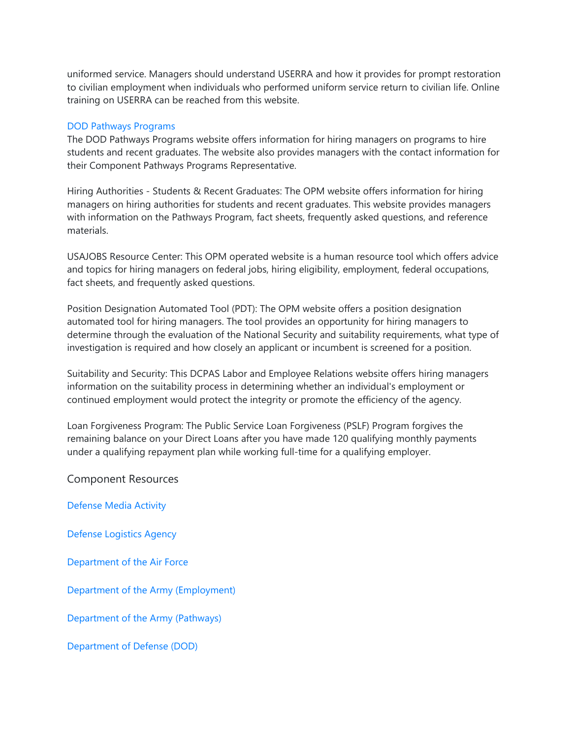uniformed service. Managers should understand USERRA and how it provides for prompt restoration to civilian employment when individuals who performed uniform service return to civilian life. Online training on USERRA can be reached from this website.

# [DOD Pathways Programs](https://www.dcpas.osd.mil/policy/employment/dodpathwaysprograms)

The DOD Pathways Programs website offers information for hiring managers on programs to hire students and recent graduates. The website also provides managers with the contact information for their Component Pathways Programs Representative.

Hiring Authorities - Students & Recent Graduates: The OPM website offers information for hiring managers on hiring authorities for students and recent graduates. This website provides managers with information on the Pathways Program, fact sheets, frequently asked questions, and reference materials.

USAJOBS Resource Center: This OPM operated website is a human resource tool which offers advice and topics for hiring managers on federal jobs, hiring eligibility, employment, federal occupations, fact sheets, and frequently asked questions.

Position Designation Automated Tool (PDT): The OPM website offers a position designation automated tool for hiring managers. The tool provides an opportunity for hiring managers to determine through the evaluation of the National Security and suitability requirements, what type of investigation is required and how closely an applicant or incumbent is screened for a position.

Suitability and Security: This DCPAS Labor and Employee Relations website offers hiring managers information on the suitability process in determining whether an individual's employment or continued employment would protect the integrity or promote the efficiency of the agency.

Loan Forgiveness Program: The Public Service Loan Forgiveness (PSLF) Program forgives the remaining balance on your Direct Loans after you have made 120 qualifying monthly payments under a qualifying repayment plan while working full-time for a qualifying employer.

Component Resources

[Defense Media Activity](https://www.dodciviliancareers.com/whoweare/)

[Defense Logistics Agency](https://www.dodciviliancareers.com/whoweare/)

[Department of the Air Force](https://www.dodciviliancareers.com/whoweare/)

[Department of the Army \(Employment\)](https://www.dodciviliancareers.com/whoweare/)

[Department of the Army \(Pathways\)](https://www.dodciviliancareers.com/whoweare/)

[Department of Defense \(DOD\)](https://www.dodciviliancareers.com/whoweare/)